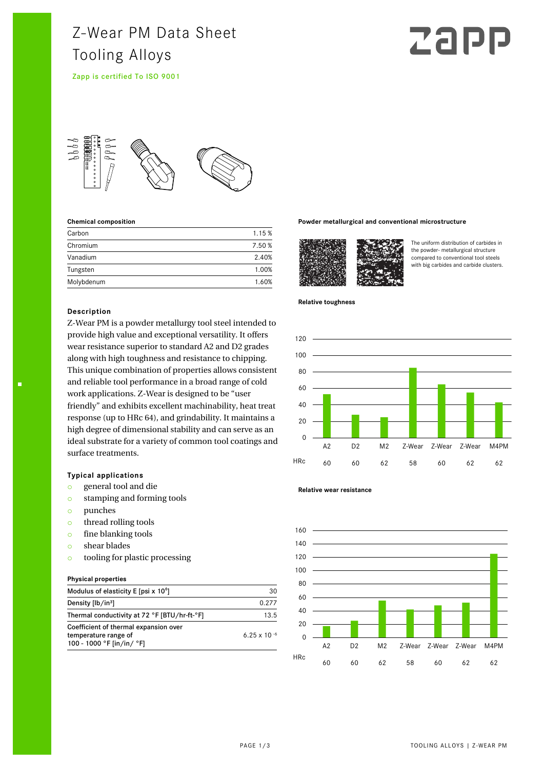# Z-Wear PM Data Sheet Tooling Alloys

Zapp is certified To ISO 9001

# Zap



#### **Chemical composition**

| Carbon     | 1.15 % |
|------------|--------|
| Chromium   | 7.50%  |
| Vanadium   | 2.40%  |
| Tungsten   | 1.00%  |
| Molybdenum | 1.60%  |

#### **Description**

Z-Wear PM is a powder metallurgy tool steel intended to provide high value and exceptional versatility. It offers wear resistance superior to standard A2 and D2 grades along with high toughness and resistance to chipping. This unique combination of properties allows consistent and reliable tool performance in a broad range of cold work applications. Z-Wear is designed to be "user friendly" and exhibits excellent machinability, heat treat response (up to HRc 64), and grindability. It maintains a high degree of dimensional stability and can serve as an ideal substrate for a variety of common tool coatings and surface treatments.

# **Typical applications**

- o general tool and die
- o stamping and forming tools
- o punches
- o thread rolling tools
- o fine blanking tools
- o shear blades
- o tooling for plastic processing

#### **Physical properties**

| Modulus of elasticity E [psi x $106$ ]                                                     | 30                    |
|--------------------------------------------------------------------------------------------|-----------------------|
| Density [lb/in <sup>3</sup> ]                                                              | 0.277                 |
| Thermal conductivity at 72 °F [BTU/hr-ft-°F]                                               | 13.5                  |
| Coefficient of thermal expansion over<br>temperature range of<br>100 - 1000 °F [in/in/ °F] | $6.25 \times 10^{-6}$ |

#### **Powder metallurgical and conventional microstructure**



The uniform distribution of carbides in the powder- metallurgical structure compared to conventional tool steels with big carbides and carbide clusters.

#### **Relative toughness**





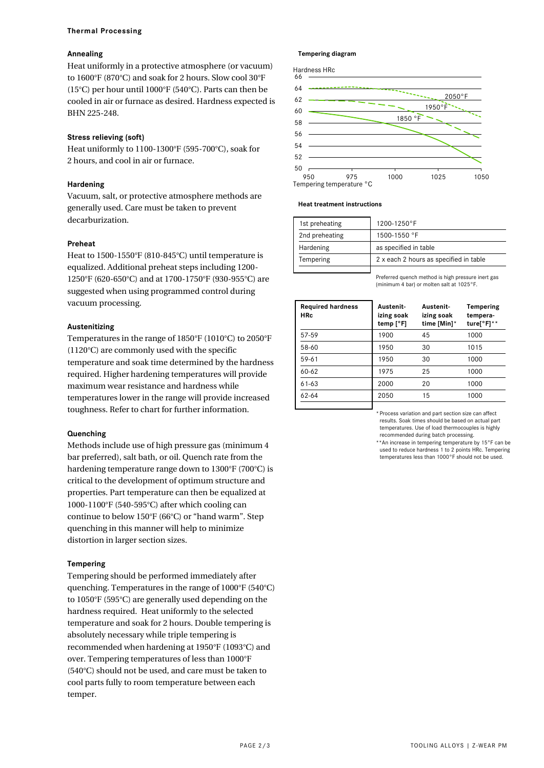#### **Thermal Processing**

# **Annealing**

Heat uniformly in a protective atmosphere (or vacuum) to 1600°F (870°C) and soak for 2 hours. Slow cool 30°F (15°C) per hour until 1000°F (540°C). Parts can then be cooled in air or furnace as desired. Hardness expected is BHN 225-248.

# **Stress relieving (soft)**

Heat uniformly to 1100-1300°F (595-700°C), soak for 2 hours, and cool in air or furnace.

## **Hardening**

Vacuum, salt, or protective atmosphere methods are generally used. Care must be taken to prevent decarburization.

#### **Preheat**

Heat to 1500-1550°F (810-845°C) until temperature is equalized. Additional preheat steps including 1200- 1250°F (620-650°C) and at 1700-1750°F (930-955°C) are suggested when using programmed control during vacuum processing.

#### **Austenitizing**

Temperatures in the range of 1850°F (1010°C) to 2050°F (1120°C) are commonly used with the specific temperature and soak time determined by the hardness required. Higher hardening temperatures will provide maximum wear resistance and hardness while temperatures lower in the range will provide increased toughness. Refer to chart for further information.

# **Quenching**

Methods include use of high pressure gas (minimum 4 bar preferred), salt bath, or oil. Quench rate from the hardening temperature range down to 1300°F (700°C) is critical to the development of optimum structure and properties. Part temperature can then be equalized at 1000-1100°F (540-595°C) after which cooling can continue to below 150°F (66°C) or "hand warm". Step quenching in this manner will help to minimize distortion in larger section sizes.

# **Tempering**

Tempering should be performed immediately after quenching. Temperatures in the range of 1000°F (540°C) to 1050°F (595°C) are generally used depending on the hardness required. Heat uniformly to the selected temperature and soak for 2 hours. Double tempering is absolutely necessary while triple tempering is recommended when hardening at 1950°F (1093°C) and over. Tempering temperatures of less than 1000°F (540°C) should not be used, and care must be taken to cool parts fully to room temperature between each temper.

#### **Tempering diagram**



#### **Heat treatment instructions**

| 1st preheating | $1200 - 1250$ °F                       |  |
|----------------|----------------------------------------|--|
| 2nd preheating | $1500 - 1550$ °F                       |  |
| Hardening      | as specified in table                  |  |
| Tempering      | 2 x each 2 hours as specified in table |  |
|                |                                        |  |

Preferred quench method is high pressure inert gas (minimum 4 bar) or molten salt at 1025°F.

| <b>Required hardness</b><br><b>HRc</b> | Austenit-<br>izing soak<br>temp $[°F]$ | Austenit-<br>izing soak<br>time [Min]* | Tempering<br>tempera-<br>ture[ $\degree$ F]** |
|----------------------------------------|----------------------------------------|----------------------------------------|-----------------------------------------------|
| 57-59                                  | 1900                                   | 45                                     | 1000                                          |
| 58-60                                  | 1950                                   | 30                                     | 1015                                          |
| $59 - 61$                              | 1950                                   | 30                                     | 1000                                          |
| $60 - 62$                              | 1975                                   | 25                                     | 1000                                          |
| $61 - 63$                              | 2000                                   | 20                                     | 1000                                          |
| $62 - 64$                              | 2050                                   | 15                                     | 1000                                          |
|                                        |                                        |                                        |                                               |

\*Process variation and part section size can affect results. Soak times should be based on actual part temperatures. Use of load thermocouples is highly recommended during batch processing.

\*\*An increase in tempering temperature by 15°F can be used to reduce hardness 1 to 2 points HRc. Tempering temperatures less than 1000°F should not be used.